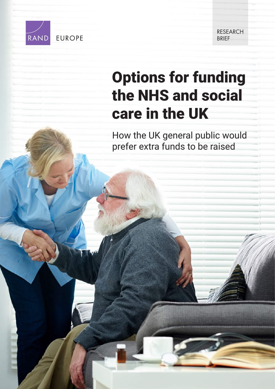

**EUROPE** 

RESEARCH **BRIFF** 

# [Options for funding](https://www.rand.org/pubs/research_briefs/RB10079.html)  the NHS and social care in the UK

How the UK general public would prefer extra funds to be raised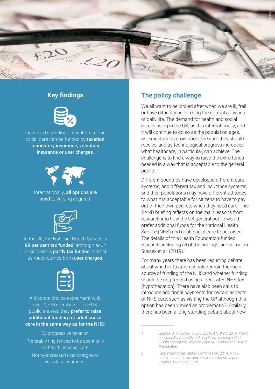

## **Key findings**



Increased spending on healthcare and social care can be funded by **taxation**, mandatory insurance, voluntary insurance or user charges.



Internationally, all options are used to varying degrees.



In the UK, the National Health Service is 99 per cent tax funded; although adult social care is **partly tax funded**, almost as much comes from user charges.



A discrete choice experiment with over 2,700 members of the UK public showed they **prefer to raise** additional funding for adult social care in the same way as for the NHS:

By progressive taxation Preferably ring-fenced to be spent only on health or social care Not by increased user charges or voluntary insurance.

# **The policy challenge**

We all want to be looked after when we are ill, frail or have difficulty performing the normal activities of daily life. The demand for health and social care is rising in the UK, as it is internationally, and it will continue to do so as the population ages, as expectations grow about the care they should receive, and as technological progress increases what healthcare, in particular, can achieve. The challenge is to find a way to raise the extra funds needed in a way that is acceptable to the general public.

Different countries have developed different care systems, and different tax and insurance systems, and their populations may have different attitudes to what it is acceptable for citizens to have to pay out of their own pockets when they need care. This RAND briefing reflects on the main lessons from research into how the UK general public would prefer additional funds for the National Health Service (NHS) and adult social care to be raised. The details of this Health Foundation-funded research, including all of the findings, are set out in Sussex et al. (2019).1

For many years there has been recurring debate about whether taxation should remain the main source of funding of the NHS and whether funding should be ring-fenced using a dedicated NHS tax (hypothecation). There have also been calls to introduce additional payments for certain aspects of NHS care, such as visiting the GP, although this option has been viewed as problematic.<sup>2</sup> Similarly, there has been a long-standing debate about how

<sup>1</sup> Sussex, J., P. Burge, H. Lu, J. Exley & S. King. 2019. *Public acceptability of health and social care funding options. Health Foundation Working Paper 4*. London: The Health Foundation.

<sup>2</sup> See in particular: Barker Commission. 2014. *A new settlement for health and social care. Interim report.*  London: The King's Fund.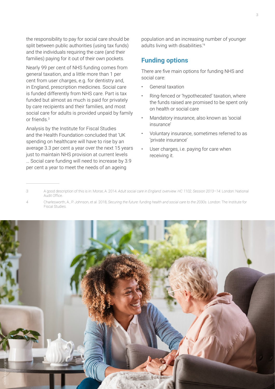the responsibility to pay for social care should be split between public authorities (using tax funds) and the individuals requiring the care (and their families) paying for it out of their own pockets.

Nearly 99 per cent of NHS funding comes from general taxation, and a little more than 1 per cent from user charges, e.g. for dentistry and, in England, prescription medicines. Social care is funded differently from NHS care. Part is tax funded but almost as much is paid for privately by care recipients and their families, and most social care for adults is provided unpaid by family or friends.<sup>3</sup>

Analysis by the Institute for Fiscal Studies and the Health Foundation concluded that 'UK spending on healthcare will have to rise by an average 3.3 per cent a year over the next 15 years just to maintain NHS provision at current levels

… Social care funding will need to increase by 3.9 per cent a year to meet the needs of an ageing

population and an increasing number of younger adults living with disabilities.'<sup>4</sup>

## **Funding options**

There are five main options for funding NHS and social care:

- General taxation
- Ring-fenced or 'hypothecated' taxation, where the funds raised are promised to be spent only on health or social care
- Mandatory insurance, also known as 'social insurance'
- Voluntary insurance, sometimes referred to as 'private insurance'
- User charges, i.e. paying for care when receiving it.

<sup>4</sup> Charlesworth, A., P. Johnson, et al. 2018, *Securing the future: funding health and social care to the 2030s*. London: The Institute for Fiscal Studies.



<sup>3</sup> A good description of this is in: Morse, A. 2014. *Adult social care in England: overview. HC 1102, Session 2013–14.* London: National Audit Office.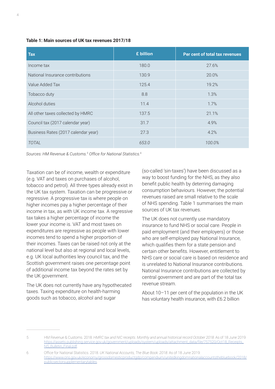| <b>Tax</b>                          | £ billion | Per cent of total tax revenues |
|-------------------------------------|-----------|--------------------------------|
| Income tax                          | 180.0     | 27.6%                          |
| National Insurance contributions    | 130.9     | 20.0%                          |
| Value Added Tax                     | 125.4     | 19.2%                          |
| Tobacco duty                        | 8.8       | 1.3%                           |
| Alcohol duties                      | 11.4      | 1.7%                           |
| All other taxes collected by HMRC   | 137.5     | 21.1%                          |
| Council tax (2017 calendar year)    | 31.7      | 4.9%                           |
| Business Rates (2017 calendar year) | 27.3      | 4.2%                           |
| <b>TOTAL</b>                        | 653.0     | 100.0%                         |

*Sources: HM Revenue & Customs.5 Office for National Statistics.6*

Taxation can be of income, wealth or expenditure (e.g. VAT and taxes on purchases of alcohol, tobacco and petrol). All three types already exist in the UK tax system. Taxation can be progressive or regressive. A progressive tax is where people on higher incomes pay a higher percentage of their income in tax, as with UK income tax. A regressive tax takes a higher percentage of income the lower your income is. VAT and most taxes on expenditures are regressive as people with lower incomes tend to spend a higher proportion of their incomes. Taxes can be raised not only at the national level but also at regional and local levels, e.g. UK local authorities levy council tax, and the Scottish government raises one percentage point of additional income tax beyond the rates set by the UK government.

The UK does not currently have any hypothecated taxes. Taxing expenditure on health-harming goods such as tobacco, alcohol and sugar

(so-called 'sin-taxes') have been discussed as a way to boost funding for the NHS, as they also benefit public health by deterring damaging consumption behaviours. However, the potential revenues raised are small relative to the scale of NHS spending. Table 1 summarises the main sources of UK tax revenues.

The UK does not currently use mandatory insurance to fund NHS or social care. People in paid employment (and their employers) or those who are self-employed pay National Insurance, which qualifies them for a state pension and certain other benefits. However, entitlement to NHS care or social care is based on residence and is unrelated to National Insurance contributions. National Insurance contributions are collected by central government and are part of the total tax revenue stream.

About 10–11 per cent of the population in the UK has voluntary health insurance, with £6.2 billion

<sup>5</sup> HM Revenue & Customs. 2018. *HMRC tax and NIC receipts. Monthly and annual historical record October 2018*. As of 18 June 2019: [https://assets.publishing.service.gov.uk/government/uploads/system/uploads/attachment\\_data/file/757520/Oct18\\_Receipts\\_](https://assets.publishing.service.gov.uk/government/uploads/system/uploads/attachment_data/file/757520/Oct18_Receipts_NS_Bulletin_Final.pdf) NS\_Bulletin\_Final.pdf.

<sup>6</sup> Office for National Statistics. 2018. *UK National Accounts, The Blue Book: 2018*. As of 18 June 2019: [https://www.ons.gov.uk/economy/grossdomesticproductgdp/compendium/unitedkingdomnationalaccountsthebluebook/2018/](https://www.ons.gov.uk/economy/grossdomesticproductgdp/compendium/unitedkingdomnationalaccountsthebluebook/2018/publicsectorsupplementarytables) publicsectorsupplementarytables.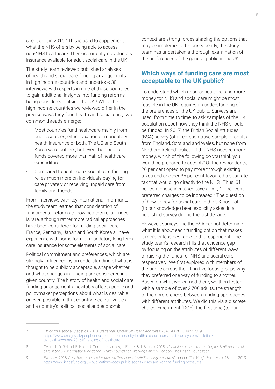spent on it in 2016.<sup>7</sup> This is used to supplement what the NHS offers by being able to access non-NHS healthcare. There is currently no voluntary insurance available for adult social care in the UK.

The study team reviewed published analyses of health and social care funding arrangements in high income countries and undertook 30 interviews with experts in nine of those countries to gain additional insights into funding reforms being considered outside the UK.<sup>8</sup> While the high income countries we reviewed differ in the precise ways they fund health and social care, two common threads emerge:

- Most countries fund healthcare mainly from public sources, either taxation or mandatory health insurance or both. The US and South Korea were outliers, but even their public funds covered more than half of healthcare expenditure.
- Compared to healthcare, social care funding relies much more on individuals paying for care privately or receiving unpaid care from family and friends.

From interviews with key international informants, the study team learned that consideration of fundamental reforms to how healthcare is funded is rare, although rather more radical approaches have been considered for funding social care. France, Germany, Japan and South Korea all have experience with some form of mandatory long-term care insurance for some elements of social care.

Political commitment and preferences, which are strongly influenced by an understanding of what is thought to be publicly acceptable, shape whether and what changes in funding are considered in a given country. The history of health and social care funding arrangements inevitably affects public and policymaker perceptions about what is desirable or even possible in that country. Societal values and a country's political, social and economic

context are strong forces shaping the options that may be implemented. Consequently, the study team has undertaken a thorough examination of the preferences of the general public in the UK.

### **Which ways of funding care are most acceptable to the UK public?**

To understand which approaches to raising more money for NHS and social care might be most feasible in the UK requires an understanding of the preferences of the UK public. Surveys are used, from time to time, to ask samples of the UK population about how they think the NHS should be funded. In 2017, the British Social Attitudes (BSA) survey (of a representative sample of adults from England, Scotland and Wales, but none from Northern Ireland) asked, 'If the NHS needed more money, which of the following do you think you would be prepared to accept?' Of the respondents, 26 per cent opted to pay more through existing taxes and another 35 per cent favoured a separate tax that would 'go directly to the NHS'. Thus, 61 per cent chose increased taxes. Only 21 per cent preferred charges to be increased.9 The question of how to pay for social care in the UK has not (to our knowledge) been explicitly asked in a published survey during the last decade.

However, surveys like the BSA cannot determine what it is about each funding option that makes it more or less desirable to the respondent. The study team's research fills that evidence gap by focusing on the attributes of different ways of raising the funds for NHS and social care respectively. We first explored with members of the public across the UK in five focus groups why they preferred one way of funding to another. Based on what we learned there, we then tested, with a sample of over 2,700 adults, the strength of their preferences between funding approaches with different attributes. We did this via a discrete choice experiment (DCE); the first time (to our

<sup>7</sup> Office for National Statistics. 2018. *Statistical Bulletin: UK Health Accounts: 2016*. As of 18 June 2019: [https://www.ons.gov.uk/peoplepopulationandcommunity/healthandsocialcare/healthcaresystem/bulletins/](https://www.ons.gov.uk/peoplepopulationandcommunity/healthandsocialcare/healthcaresystem/bulletins/ukhealthaccounts/2016#financing-of-healthcare) ukhealthaccounts/2016#financing-of-healthcare

<sup>8</sup> Cylus, J., D. Roland, E. Nolte, J. Corbett, K. Jones, J. Forder & J. Sussex. 2018. *Identifying options for funding the NHS and social care in the UK: international evidence. Health Foundation Working Paper 3*. London: The Health Foundation.

<sup>9</sup> Evans, H. 2018. *Does the public see tax rises as the answer to NHS funding pressures?* London: The King's Fund. As of 18 June 2019: <https://www.kingsfund.org.uk/publications/does-public-see-tax-rises-answer-nhs-funding-pressures>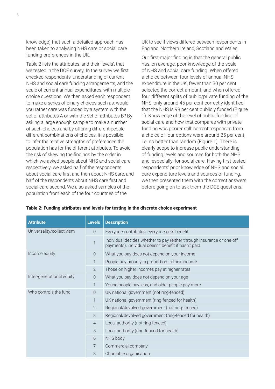knowledge) that such a detailed approach has been taken to analysing NHS care or social care funding preferences in the UK.

Table 2 lists the attributes, and their 'levels', that we tested in the DCE survey. In the survey we first checked respondents' understanding of current NHS and social care funding arrangements, and the scale of current annual expenditures, with multiplechoice questions. We then asked each respondent to make a series of binary choices such as: would you rather care was funded by a system with the set of attributes A or with the set of attributes B? By asking a large enough sample to make a number of such choices and by offering different people different combinations of choices, it is possible to infer the relative strengths of preferences the population has for the different attributes. To avoid the risk of skewing the findings by the order in which we asked people about NHS and social care respectively, we asked half of the respondents about social care first and then about NHS care, and half of the respondents about NHS care first and social care second. We also asked samples of the population from each of the four countries of the

UK to see if views differed between respondents in England, Northern Ireland, Scotland and Wales.

Our first major finding is that the general public has, on average, poor knowledge of the scale of NHS and social care funding. When offered a choice between four levels of annual NHS expenditure in the UK, fewer than 30 per cent selected the correct amount; and when offered four different splits of public/private funding of the NHS, only around 45 per cent correctly identified that the NHS is 99 per cent publicly funded (Figure 1). Knowledge of the level of public funding of social care and how that compares with private funding was poorer still: correct responses from a choice of four options were around 25 per cent, i.e. no better than random (Figure 1). There is clearly scope to increase public understanding of funding levels and sources for both the NHS and, especially, for social care. Having first tested respondents' prior knowledge of NHS and social care expenditure levels and sources of funding, we then presented them with the correct answers before going on to ask them the DCE questions.

| <b>Attribute</b>          | <b>Levels</b>  | <b>Description</b>                                                                                                             |  |
|---------------------------|----------------|--------------------------------------------------------------------------------------------------------------------------------|--|
| Universality/collectivism | $\Omega$       | Everyone contributes, everyone gets benefit                                                                                    |  |
|                           | $\mathbf{1}$   | Individual decides whether to pay (either through insurance or one-off<br>payments), individual doesn't benefit if hasn't paid |  |
| Income equity             | $\Omega$       | What you pay does not depend on your income                                                                                    |  |
|                           | 1              | People pay broadly in proportion to their income                                                                               |  |
|                           | $\overline{2}$ | Those on higher incomes pay at higher rates                                                                                    |  |
| Inter-generational equity | $\Omega$       | What you pay does not depend on your age                                                                                       |  |
|                           | 1              | Young people pay less, and older people pay more                                                                               |  |
| Who controls the fund     | $\bigcap$      | UK national government (not ring-fenced)                                                                                       |  |
|                           | 1              | UK national government (ring-fenced for health)                                                                                |  |
|                           | $\overline{2}$ | Regional/devolved government (not ring-fenced)                                                                                 |  |
|                           | 3              | Regional/devolved government (ring-fenced for health)                                                                          |  |
|                           | $\overline{4}$ | Local authority (not ring-fenced)                                                                                              |  |
|                           | 5              | Local authority (ring-fenced for health)                                                                                       |  |
|                           | 6              | NHS body                                                                                                                       |  |
|                           | 7              | Commercial company                                                                                                             |  |
|                           | 8              | Charitable organisation                                                                                                        |  |

#### **Table 2: Funding attributes and levels for testing in the discrete choice experiment**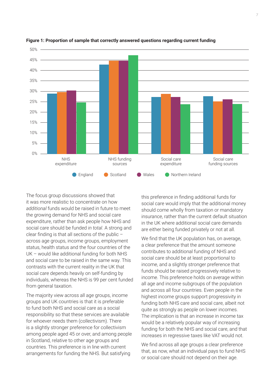

#### **Figure 1: Proportion of sample that correctly answered questions regarding current funding**

The focus group discussions showed that it was more realistic to concentrate on how *additional* funds would be raised in future to meet the growing demand for NHS and social care expenditure, rather than ask people how NHS and social care should be funded *in total*. A strong and clear finding is that all sections of the public – across age groups, income groups, employment status, health status and the four countries of the UK – would like additional funding for both NHS and social care to be raised in the same way. This contrasts with the current reality in the UK that social care depends heavily on self-funding by individuals, whereas the NHS is 99 per cent funded from general taxation.

The majority view across all age groups, income groups and UK countries is that it is preferable to fund both NHS and social care as a social responsibility so that these services are available for whoever needs them (collectivism). There is a slightly stronger preference for collectivism among people aged 45 or over, and among people in Scotland, relative to other age groups and countries. This preference is in line with current arrangements for funding the NHS. But satisfying

this preference in finding additional funds for social care would imply that the additional money should come wholly from taxation or mandatory insurance, rather than the current default situation in the UK where additional social care demands are either being funded privately or not at all.

We find that the UK population has, on average, a clear preference that the amount someone contributes to additional funding of NHS and social care should be at least proportional to income, and a slightly stronger preference that funds should be raised progressively relative to income. This preference holds on average within all age and income subgroups of the population and across all four countries. Even people in the highest income groups support progressivity in funding both NHS care and social care, albeit not quite as strongly as people on lower incomes. The implication is that an increase in income tax would be a relatively popular way of increasing funding for both the NHS and social care, and that increases in regressive taxes like VAT would not.

We find across all age groups a clear preference that, as now, what an individual pays to fund NHS or social care should not depend on their age.